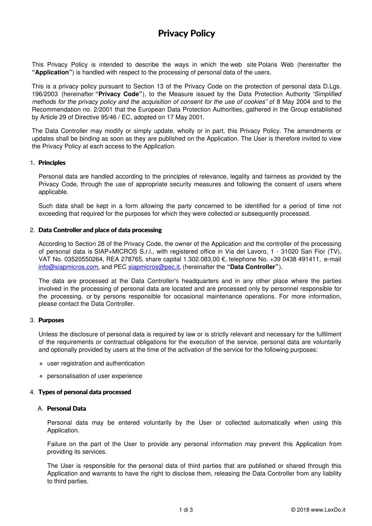# **Privacy Policy**

This Privacy Policy is intended to describe the ways in which the web site Polaris Web (hereinafter the **"Application"**) is handled with respect to the processing of personal data of the users.

This is a privacy policy pursuant to Section 13 of the Privacy Code on the protection of personal data D.Lgs. 196/2003 (hereinafter **"Privacy Code"**), to the Measure issued by the Data Protection Authority *"Simplified methods for the privacy policy and the acquisition of consent for the use of cookies"* of 8 May 2004 and to the Recommendation no. 2/2001 that the European Data Protection Authorities, gathered in the Group established by Article 29 of Directive 95/46 / EC, adopted on 17 May 2001.

The Data Controller may modify or simply update, wholly or in part, this Privacy Policy. The amendments or updates shall be binding as soon as they are published on the Application. The User is therefore invited to view the Privacy Policy at each access to the Application.

### 1. **Principles**

Personal data are handled according to the principles of relevance, legality and fairness as provided by the Privacy Code, through the use of appropriate security measures and following the consent of users where applicable.

Such data shall be kept in a form allowing the party concerned to be identified for a period of time not exceeding that required for the purposes for which they were collected or subsequently processed.

## 2. **Data Controller and place of data processing**

According to Section 28 of the Privacy Code, the owner of the Application and the controller of the processing of personal data is SIAP+MICROS S.r.l., with registered office in Via del Lavoro, 1 - 31020 San Fior (TV), VAT No. 03520550264, REA 278765, share capital 1.302.083,00 €, telephone No. +39 0438 491411, e-mail [info@siapmicros.com](mailto:info@siapmicros.com), and PEC [siapmicros@pec.it](mailto:siapmicros@pec.it), (hereinafter the **"Data Controller"**).

The data are processed at the Data Controller's headquarters and in any other place where the parties involved in the processing of personal data are located and are processed only by personnel responsible for the processing, or by persons responsible for occasional maintenance operations. For more information, please contact the Data Controller.

### 3. **Purposes**

Unless the disclosure of personal data is required by law or is strictly relevant and necessary for the fulfilment of the requirements or contractual obligations for the execution of the service, personal data are voluntarily and optionally provided by users at the time of the activation of the service for the following purposes:

- user registration and authentication
- personalisation of user experience

### 4. **Types of personal data processed**

## A. **Personal Data**

Personal data may be entered voluntarily by the User or collected automatically when using this Application.

Failure on the part of the User to provide any personal information may prevent this Application from providing its services.

The User is responsible for the personal data of third parties that are published or shared through this Application and warrants to have the right to disclose them, releasing the Data Controller from any liability to third parties.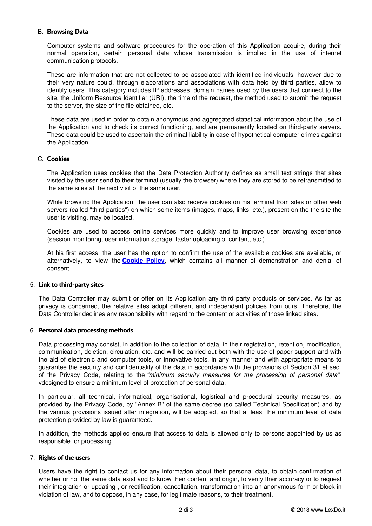## B. **Browsing Data**

Computer systems and software procedures for the operation of this Application acquire, during their normal operation, certain personal data whose transmission is implied in the use of internet communication protocols.

These are information that are not collected to be associated with identified individuals, however due to their very nature could, through elaborations and associations with data held by third parties, allow to identify users. This category includes IP addresses, domain names used by the users that connect to the site, the Uniform Resource Identifier (URI), the time of the request, the method used to submit the request to the server, the size of the file obtained, etc.

These data are used in order to obtain anonymous and aggregated statistical information about the use of the Application and to check its correct functioning, and are permanently located on third-party servers. These data could be used to ascertain the criminal liability in case of hypothetical computer crimes against the Application.

## C. **Cookies**

The Application uses cookies that the Data Protection Authority defines as small text strings that sites visited by the user send to their terminal (usually the browser) where they are stored to be retransmitted to the same sites at the next visit of the same user.

While browsing the Application, the user can also receive cookies on his terminal from sites or other web servers (called "third parties") on which some items (images, maps, links, etc.), present on the the site the user is visiting, may be located.

Cookies are used to access online services more quickly and to improve user browsing experience (session monitoring, user information storage, faster uploading of content, etc.).

At his first access, the user has the option to confirm the use of the available cookies are available, or alternatively, to view the **[Cookie](cookie-policy_EN.pdf) Policy**, which contains all manner of demonstration and denial of consent.

# 5. **Link to third-party sites**

The Data Controller may submit or offer on its Application any third party products or services. As far as privacy is concerned, the relative sites adopt different and independent policies from ours. Therefore, the Data Controller declines any responsibility with regard to the content or activities of those linked sites.

### 6. **Personal data processing methods**

Data processing may consist, in addition to the collection of data, in their registration, retention, modification, communication, deletion, circulation, etc. and will be carried out both with the use of paper support and with the aid of electronic and computer tools, or innovative tools, in any manner and with appropriate means to guarantee the security and confidentiality of the data in accordance with the provisions of Section 31 et seq. of the Privacy Code, relating to the *"minimum security measures for the processing of personal data"* vdesigned to ensure a minimum level of protection of personal data.

In particular, all technical, informatical, organisational, logistical and procedural security measures, as provided by the Privacy Code, by "Annex B" of the same decree (so called Technical Specification) and by the various provisions issued after integration, will be adopted, so that at least the minimum level of data protection provided by law is guaranteed.

In addition, the methods applied ensure that access to data is allowed only to persons appointed by us as responsible for processing.

### 7. **Rights of the users**

Users have the right to contact us for any information about their personal data, to obtain confirmation of whether or not the same data exist and to know their content and origin, to verify their accuracy or to request their integration or updating , or rectification, cancellation, transformation into an anonymous form or block in violation of law, and to oppose, in any case, for legitimate reasons, to their treatment.